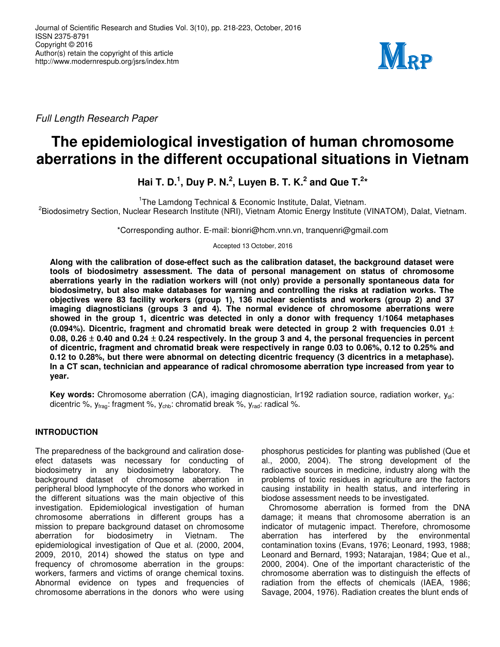

Full Length Research Paper

# **The epidemiological investigation of human chromosome aberrations in the different occupational situations in Vietnam**

**Hai T. D.<sup>1</sup>, Duy P. N.<sup>2</sup>, Luyen B. T. K.<sup>2</sup> and Que T.<sup>2</sup>\*** 

<sup>1</sup>The Lamdong Technical & Economic Institute, Dalat, Vietnam.

<sup>2</sup>Biodosimetry Section, Nuclear Research Institute (NRI), Vietnam Atomic Energy Institute (VINATOM), Dalat, Vietnam.

\*Corresponding author. E-mail: bionri@hcm.vnn.vn, tranquenri@gmail.com

Accepted 13 October, 2016

**Along with the calibration of dose-effect such as the calibration dataset, the background dataset were tools of biodosimetry assessment. The data of personal management on status of chromosome aberrations yearly in the radiation workers will (not only) provide a personally spontaneous data for biodosimetry, but also make databases for warning and controlling the risks at radiation works. The objectives were 83 facility workers (group 1), 136 nuclear scientists and workers (group 2) and 37 imaging diagnosticians (groups 3 and 4). The normal evidence of chromosome aberrations were showed in the group 1, dicentric was detected in only a donor with frequency 1/1064 metaphases (0.094%). Dicentric, fragment and chromatid break were detected in group 2 with frequencies 0.01** ± **0.08, 0.26** ± **0.40 and 0.24** ± **0.24 respectively. In the group 3 and 4, the personal frequencies in percent of dicentric, fragment and chromatid break were respectively in range 0.03 to 0.06%, 0.12 to 0.25% and 0.12 to 0.28%, but there were abnormal on detecting dicentric frequency (3 dicentrics in a metaphase). In a CT scan, technician and appearance of radical chromosome aberration type increased from year to year.** 

Key words: Chromosome aberration (CA), imaging diagnostician, Ir192 radiation source, radiation worker, y<sub>di</sub>: dicentric %,  $y_{\text{frag}}$ : fragment %,  $y_{\text{chb}}$ : chromatid break %,  $y_{\text{rad}}$ : radical %.

# **INTRODUCTION**

The preparedness of the background and caliration doseefect datasets was necessary for conducting of biodosimetry in any biodosimetry laboratory. The background dataset of chromosome aberration in peripheral blood lymphocyte of the donors who worked in the different situations was the main objective of this investigation. Epidemiological investigation of human chromosome aberrations in different groups has a mission to prepare background dataset on chromosome aberration for biodosimetry in Vietnam. The epidemiological investigation of Que et al. (2000, 2004, 2009, 2010, 2014) showed the status on type and frequency of chromosome aberration in the groups: workers, farmers and victims of orange chemical toxins. Abnormal evidence on types and frequencies of chromosome aberrations in the donors who were using

phosphorus pesticides for planting was published (Que et al., 2000, 2004). The strong development of the radioactive sources in medicine, industry along with the problems of toxic residues in agriculture are the factors causing instability in health status, and interfering in biodose assessment needs to be investigated.

Chromosome aberration is formed from the DNA damage; it means that chromosome aberration is an indicator of mutagenic impact. Therefore, chromosome aberration has interfered by the environmental contamination toxins (Evans, 1976; Leonard, 1993, 1988; Leonard and Bernard, 1993; Natarajan, 1984; Que et al., 2000, 2004). One of the important characteristic of the chromosome aberration was to distinguish the effects of radiation from the effects of chemicals (IAEA, 1986; Savage, 2004, 1976). Radiation creates the blunt ends of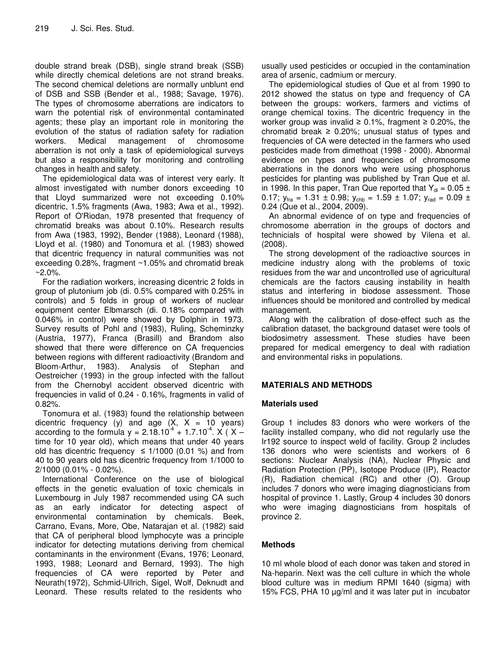double strand break (DSB), single strand break (SSB) while directly chemical deletions are not strand breaks. The second chemical deletions are normally unblunt end of DSB and SSB (Bender et al., 1988; Savage, 1976). The types of chromosome aberrations are indicators to warn the potential risk of environmental contaminated agents; these play an important role in monitoring the evolution of the status of radiation safety for radiation workers. Medical management of chromosome aberration is not only a task of epidemiological surveys but also a responsibility for monitoring and controlling changes in health and safety.

The epidemiological data was of interest very early. It almost investigated with number donors exceeding 10 that Lloyd summarized were not exceeding 0.10% dicentric, 1.5% fragments (Awa, 1983; Awa et al., 1992). Report of O'Riodan, 1978 presented that frequency of chromatid breaks was about 0.10%. Research results from Awa (1983, 1992), Bender (1988), Leonard (1988), Lloyd et al. (1980) and Tonomura et al. (1983) showed that dicentric frequency in natural communities was not exceeding 0.28%, fragment ~1.05% and chromatid break  $~2.0\%$ 

For the radiation workers, increasing dicentric 2 folds in group of plutonium job (di. 0.5% compared with 0.25% in controls) and 5 folds in group of workers of nuclear equipment center Elbmarsch (di. 0.18% compared with 0.046% in control) were showed by Dolphin in 1973. Survey results of Pohl and (1983), Ruling, Scheminzky (Austria, 1977), Franca (Brasill) and Brandom also showed that there were difference on CA frequencies between regions with different radioactivity (Brandom and Bloom-Arthur, 1983). Analysis of Stephan and Oestreicher (1993) in the group infected with the fallout from the Chernobyl accident observed dicentric with frequencies in valid of 0.24 - 0.16%, fragments in valid of 0.82%.

Tonomura et al. (1983) found the relationship between dicentric frequency (y) and age  $(X, X = 10 \text{ years})$ according to the formula  $y = 2.18.10^{-4} + 1.7.10^{-4}$ . X (X – time for 10 year old), which means that under 40 years old has dicentric frequency ≤  $1/1000$  (0.01 %) and from 40 to 90 years old has dicentric frequency from 1/1000 to 2/1000 (0.01% - 0.02%).

International Conference on the use of biological effects in the genetic evaluation of toxic chemicals in Luxembourg in July 1987 recommended using CA such as an early indicator for detecting aspect of environmental contamination by chemicals. Beek, Carrano, Evans, More, Obe, Natarajan et al. (1982) said that CA of peripheral blood lymphocyte was a principle indicator for detecting mutations deriving from chemical contaminants in the environment (Evans, 1976; Leonard, 1993, 1988; Leonard and Bernard, 1993). The high frequencies of CA were reported by Peter and Neurath(1972), Schmid-Ullrich, Sigel, Wolf, Deknudt and Leonard. These results related to the residents who

usually used pesticides or occupied in the contamination area of arsenic, cadmium or mercury.

The epidemiological studies of Que et al from 1990 to 2012 showed the status on type and frequency of CA between the groups: workers, farmers and victims of orange chemical toxins. The dicentric frequency in the worker group was invalid  $\geq$  0.1%, fragment  $\geq$  0.20%, the chromatid break  $\geq$  0.20%; unusual status of types and frequencies of CA were detected in the farmers who used pesticides made from dimethoat (1998 - 2000). Abnormal evidence on types and frequencies of chromosome aberrations in the donors who were using phosphorus pesticides for planting was published by Tran Que et al. in 1998. In this paper, Tran Que reported that  $Y_{di} = 0.05 \pm 1$ 0.17;  $y_{\text{fra}} = 1.31 \pm 0.98$ ;  $y_{\text{chb}} = 1.59 \pm 1.07$ ;  $y_{\text{rad}} = 0.09 \pm 1.07$ 0.24 (Que et al., 2004, 2009).

An abnormal evidence of on type and frequencies of chromosome aberration in the groups of doctors and technicials of hospital were showed by Vilena et al. (2008).

The strong development of the radioactive sources in medicine industry along with the problems of toxic residues from the war and uncontrolled use of agricultural chemicals are the factors causing instability in health status and interfering in biodose assessment. Those influences should be monitored and controlled by medical management.

Along with the calibration of dose-effect such as the calibration dataset, the background dataset were tools of biodosimetry assessment. These studies have been prepared for medical emergency to deal with radiation and environmental risks in populations.

# **MATERIALS AND METHODS**

## **Materials used**

Group 1 includes 83 donors who were workers of the facility installed company, who did not regularly use the Ir192 source to inspect weld of facility. Group 2 includes 136 donors who were scientists and workers of 6 sections: Nuclear Analysis (NA), Nuclear Physic and Radiation Protection (PP), Isotope Produce (IP), Reactor (R), Radiation chemical (RC) and other (O). Group includes 7 donors who were imaging diagnosticians from hospital of province 1. Lastly, Group 4 includes 30 donors who were imaging diagnosticians from hospitals of province 2.

# **Methods**

10 ml whole blood of each donor was taken and stored in Na-heparin. Next was the cell culture in which the whole blood culture was in medium RPMI 1640 (sigma) with 15% FCS, PHA 10 µg/ml and it was later put in incubator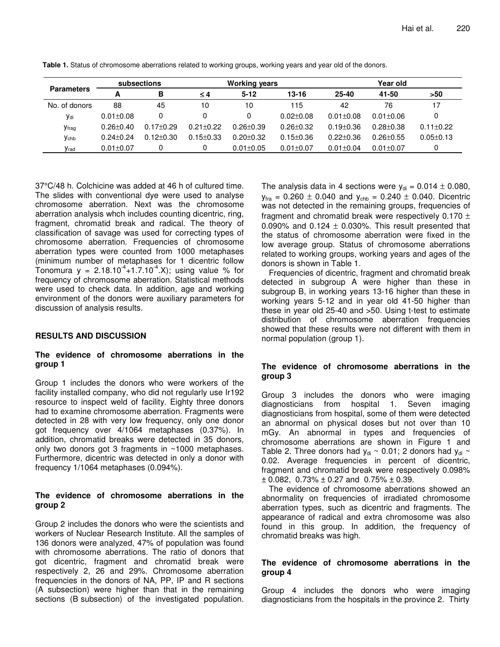| <b>Parameters</b> | subsections     |                 | <b>Working years</b> |                 |                 | Year old        |                 |                 |
|-------------------|-----------------|-----------------|----------------------|-----------------|-----------------|-----------------|-----------------|-----------------|
|                   |                 | B               | ≤4                   | $5 - 12$        | $13 - 16$       | $25 - 40$       | 41-50           | >50             |
| No. of donors     | 88              | 45              | 10                   | 10              | 115             | 42              | 76              | 17              |
| Vdi               | $0.01 \pm 0.08$ |                 |                      | 0               | $0.02 \pm 0.08$ | $0.01 \pm 0.08$ | $0.01 \pm 0.06$ | 0               |
| <b>y</b> frag     | $0.26 \pm 0.40$ | $0.17 \pm 0.29$ | $0.21 + 0.22$        | $0.26 \pm 0.39$ | $0.26 \pm 0.32$ | $0.19 \pm 0.36$ | $0.28 + 0.38$   | $0.11 \pm 0.22$ |
| <b>y</b> chb      | $0.24 + 0.24$   | $0.12 + 0.30$   | $0.15 \pm 0.33$      | $0.20 + 0.32$   | $0.15 \pm 0.36$ | $0.22 \pm 0.36$ | $0.26 + 0.55$   | $0.05 \pm 0.13$ |
| Vrad              | $0.01 \pm 0.07$ |                 |                      | $0.01 \pm 0.05$ | $0.01 \pm 0.07$ | $0.01 \pm 0.04$ | $0.01 \pm 0.07$ | 0               |

**Table 1.** Status of chromosome aberrations related to working groups, working years and year old of the donors.

37°C/48 h. Colchicine was added at 46 h of cultured time. The slides with conventional dye were used to analyse chromosome aberration. Next was the chromosome aberration analysis whch includes counting dicentric, ring, fragment, chromatid break and radical. The theory of classification of savage was used for correcting types of chromosome aberration. Frequencies of chromosome aberration types were counted from 1000 metaphases (minimum number of metaphases for 1 dicentric follow Tonomura y =  $2.18.10^{4}$ +1.7.10<sup>-4</sup>.X); using value % for frequency of chromosome aberration. Statistical methods were used to check data. In addition, age and working environment of the donors were auxiliary parameters for discussion of analysis results.

## **RESULTS AND DISCUSSION**

## **The evidence of chromosome aberrations in the group 1**

Group 1 includes the donors who were workers of the facility installed company, who did not regularly use Ir192 resource to inspect weld of facility. Eighty three donors had to examine chromosome aberration. Fragments were detected in 28 with very low frequency, only one donor got frequency over 4/1064 metaphases (0.37%). In addition, chromatid breaks were detected in 35 donors, only two donors got 3 fragments in ~1000 metaphases. Furthermore, dicentric was detected in only a donor with frequency 1/1064 metaphases (0.094%).

#### **The evidence of chromosome aberrations in the group 2**

Group 2 includes the donors who were the scientists and workers of Nuclear Research Institute. All the samples of 136 donors were analyzed, 47% of population was found with chromosome aberrations. The ratio of donors that got dicentric, fragment and chromatid break were respectively 2, 26 and 29%. Chromosome aberration frequencies in the donors of NA, PP, IP and R sections (A subsection) were higher than that in the remaining sections (B subsection) of the investigated population.

The analysis data in 4 sections were  $y_{di} = 0.014 \pm 0.080$ ,  $y_{\text{fra}} = 0.260 \pm 0.040$  and  $y_{\text{chb}} = 0.240 \pm 0.040$ . Dicentric was not detected in the remaining groups, frequencies of fragment and chromatid break were respectively 0.170  $\pm$ 0.090% and 0.124  $\pm$  0.030%. This result presented that the status of chromosome aberration were fixed in the low average group. Status of chromosome aberrations related to working groups, working years and ages of the donors is shown in Table 1.

Frequencies of dicentric, fragment and chromatid break detected in subgroup A were higher than these in subgroup B, in working years 13-16 higher than these in working years 5-12 and in year old 41-50 higher than these in year old 25-40 and >50. Using t-test to estimate distribution of chromosome aberration frequencies showed that these results were not different with them in normal population (group 1).

## **The evidence of chromosome aberrations in the group 3**

Group 3 includes the donors who were imaging diagnosticians from hospital 1. Seven imaging diagnosticians from hospital, some of them were detected an abnormal on physical doses but not over than 10 mGy. An abnormal in types and frequencies of chromosome aberrations are shown in Figure 1 and Table 2. Three donors had  $y_{di} \sim 0.01$ ; 2 donors had  $y_{di} \sim$ 0.02. Average frequencies in percent of dicentric, fragment and chromatid break were respectively 0.098%  $\pm$  0.082, 0.73%  $\pm$  0.27 and 0.75%  $\pm$  0.39.

The evidence of chromosome aberrations showed an abnormality on frequencies of irradiated chromosome aberration types, such as dicentric and fragments. The appearance of radical and extra chromosome was also found in this group. In addition, the frequency of chromatid breaks was high.

## **The evidence of chromosome aberrations in the group 4**

Group 4 includes the donors who were imaging diagnosticians from the hospitals in the province 2. Thirty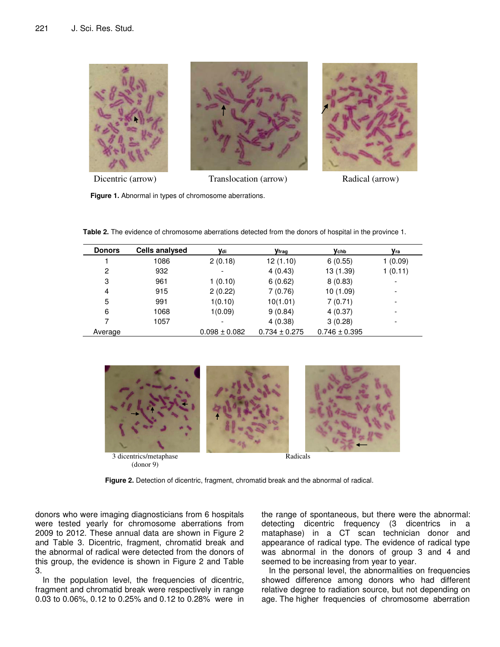

Dicentric (arrow) Translocation (arrow) Radical (arrow)

**Figure 1.** Abnormal in types of chromosome aberrations.

**Table 2.** The evidence of chromosome aberrations detected from the donors of hospital in the province 1.

| <b>Donors</b> | <b>Cells analysed</b> | ydi               | <b>y</b> frag     | <b>Y</b> chb      | Уrа     |
|---------------|-----------------------|-------------------|-------------------|-------------------|---------|
|               | 1086                  | 2(0.18)           | 12(1.10)          | 6(0.55)           | 1(0.09) |
| 2             | 932                   | ۰                 | 4(0.43)           | 13 (1.39)         | 1(0.11) |
| 3             | 961                   | 1(0.10)           | 6(0.62)           | 8(0.83)           |         |
| 4             | 915                   | 2(0.22)           | 7(0.76)           | 10(1.09)          |         |
| 5             | 991                   | 1(0.10)           | 10(1.01)          | 7(0.71)           |         |
| 6             | 1068                  | 1(0.09)           | 9(0.84)           | 4(0.37)           |         |
|               | 1057                  | -                 | 4(0.38)           | 3(0.28)           |         |
| Average       |                       | $0.098 \pm 0.082$ | $0.734 \pm 0.275$ | $0.746 \pm 0.395$ |         |



(donor 9)

Radicals

**Figure 2.** Detection of dicentric, fragment, chromatid break and the abnormal of radical.

donors who were imaging diagnosticians from 6 hospitals were tested yearly for chromosome aberrations from 2009 to 2012. These annual data are shown in Figure 2 and Table 3. Dicentric, fragment, chromatid break and the abnormal of radical were detected from the donors of this group, the evidence is shown in Figure 2 and Table 3.

In the population level, the frequencies of dicentric, fragment and chromatid break were respectively in range 0.03 to 0.06%, 0.12 to 0.25% and 0.12 to 0.28% were in the range of spontaneous, but there were the abnormal: detecting dicentric frequency (3 dicentrics in a mataphase) in a CT scan technician donor and appearance of radical type. The evidence of radical type was abnormal in the donors of group 3 and 4 and seemed to be increasing from year to year.

In the personal level, the abnormalities on frequencies showed difference among donors who had different relative degree to radiation source, but not depending on age. The higher frequencies of chromosome aberration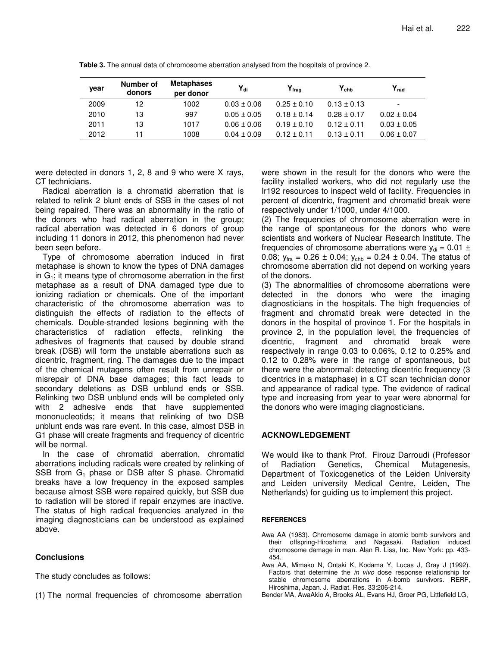| year | Number of<br>donors | <b>Metaphases</b><br>per donor | $Y_{di}$        | $\mathsf{Y}_{\mathsf{fraa}}$ | $Y_{\rm chb}$   | $Y_{rad}$       |
|------|---------------------|--------------------------------|-----------------|------------------------------|-----------------|-----------------|
| 2009 | 12                  | 1002                           | $0.03 \pm 0.06$ | $0.25 \pm 0.10$              | $0.13 \pm 0.13$ |                 |
| 2010 | 13                  | 997                            | $0.05 \pm 0.05$ | $0.18 \pm 0.14$              | $0.28 \pm 0.17$ | $0.02 \pm 0.04$ |
| 2011 | 13                  | 1017                           | $0.06 \pm 0.06$ | $0.19 \pm 0.10$              | $0.12 \pm 0.11$ | $0.03 \pm 0.05$ |
| 2012 | 11                  | 1008                           | $0.04 \pm 0.09$ | $0.12 \pm 0.11$              | $0.13 \pm 0.11$ | $0.06 \pm 0.07$ |

**Table 3.** The annual data of chromosome aberration analysed from the hospitals of province 2.

were detected in donors 1, 2, 8 and 9 who were X rays, CT technicians.

Radical aberration is a chromatid aberration that is related to relink 2 blunt ends of SSB in the cases of not being repaired. There was an abnormality in the ratio of the donors who had radical aberration in the group; radical aberration was detected in 6 donors of group including 11 donors in 2012, this phenomenon had never been seen before.

Type of chromosome aberration induced in first metaphase is shown to know the types of DNA damages in  $G_1$ ; it means type of chromosome aberration in the first metaphase as a result of DNA damaged type due to ionizing radiation or chemicals. One of the important characteristic of the chromosome aberration was to distinguish the effects of radiation to the effects of chemicals. Double-stranded lesions beginning with the characteristics of radiation effects, relinking the adhesives of fragments that caused by double strand break (DSB) will form the unstable aberrations such as dicentric, fragment, ring. The damages due to the impact of the chemical mutagens often result from unrepair or misrepair of DNA base damages; this fact leads to secondary deletions as DSB unblund ends or SSB. Relinking two DSB unblund ends will be completed only with 2 adhesive ends that have supplemented mononucleotids; it means that relinking of two DSB unblunt ends was rare event. In this case, almost DSB in G1 phase will create fragments and frequency of dicentric will be normal.

In the case of chromatid aberration, chromatid aberrations including radicals were created by relinking of SSB from  $G_1$  phase or DSB after S phase. Chromatid breaks have a low frequency in the exposed samples because almost SSB were repaired quickly, but SSB due to radiation will be stored if repair enzymes are inactive. The status of high radical frequencies analyzed in the imaging diagnosticians can be understood as explained above.

# **Conclusions**

The study concludes as follows:

(1) The normal frequencies of chromosome aberration

were shown in the result for the donors who were the facility installed workers, who did not regularly use the Ir192 resources to inspect weld of facility. Frequencies in percent of dicentric, fragment and chromatid break were respectively under 1/1000, under 4/1000.

(2) The frequencies of chromosome aberration were in the range of spontaneous for the donors who were scientists and workers of Nuclear Research Institute. The frequencies of chromosome aberrations were  $y_{di} = 0.01 \pm$ 0.08;  $y_{\text{fra}} = 0.26 \pm 0.04$ ;  $y_{\text{chb}} = 0.24 \pm 0.04$ . The status of chromosome aberration did not depend on working years of the donors.

(3) The abnormalities of chromosome aberrations were detected in the donors who were the imaging diagnosticians in the hospitals. The high frequencies of fragment and chromatid break were detected in the donors in the hospital of province 1. For the hospitals in province 2, in the population level, the frequencies of dicentric, fragment and chromatid break were respectively in range 0.03 to 0.06%, 0.12 to 0.25% and 0.12 to 0.28% were in the range of spontaneous, but there were the abnormal: detecting dicentric frequency (3 dicentrics in a mataphase) in a CT scan technician donor and appearance of radical type. The evidence of radical type and increasing from year to year were abnormal for the donors who were imaging diagnosticians.

# **ACKNOWLEDGEMENT**

We would like to thank Prof. Firouz Darroudi (Professor of Radiation Genetics, Chemical Mutagenesis, Department of Toxicogenetics of the Leiden University and Leiden university Medical Centre, Leiden, The Netherlands) for guiding us to implement this project.

#### **REFERENCES**

Awa AA (1983). Chromosome damage in atomic bomb survivors and their offspring-Hiroshima and Nagasaki. Radiation induced chromosome damage in man. Alan R. Liss, Inc. New York: pp. 433- 454.

Awa AA, Mimako N, Ontaki K, Kodama Y, Lucas J, Gray J (1992). Factors that determine the in vivo dose response relationship for stable chromosome aberrations in A-bomb survivors. RERF, Hiroshima, Japan. J. Radiat. Res. 33:206-214.

Bender MA, AwaAkio A, Brooks AL, Evans HJ, Groer PG, Littlefield LG,